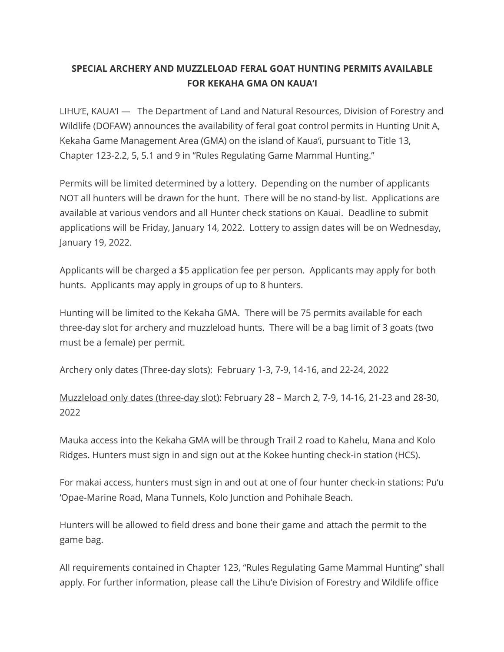## **SPECIAL ARCHERY AND MUZZLELOAD FERAL GOAT HUNTING PERMITS AVAILABLE FOR KEKAHA GMA ON KAUA'I**

LIHU'E, KAUA'I — The Department of Land and Natural Resources, Division of Forestry and Wildlife (DOFAW) announces the availability of feral goat control permits in Hunting Unit A, Kekaha Game Management Area (GMA) on the island of Kaua'i, pursuant to Title 13, Chapter 123-2.2, 5, 5.1 and 9 in "Rules Regulating Game Mammal Hunting."

Permits will be limited determined by a lottery. Depending on the number of applicants NOT all hunters will be drawn for the hunt. There will be no stand-by list. Applications are available at various vendors and all Hunter check stations on Kauai. Deadline to submit applications will be Friday, January 14, 2022. Lottery to assign dates will be on Wednesday, January 19, 2022.

Applicants will be charged a \$5 application fee per person. Applicants may apply for both hunts. Applicants may apply in groups of up to 8 hunters.

Hunting will be limited to the Kekaha GMA. There will be 75 permits available for each three-day slot for archery and muzzleload hunts. There will be a bag limit of 3 goats (two must be a female) per permit.

Archery only dates (Three-day slots): February 1-3, 7-9, 14-16, and 22-24, 2022

Muzzleload only dates (three-day slot): February 28 – March 2, 7-9, 14-16, 21-23 and 28-30, 2022

Mauka access into the Kekaha GMA will be through Trail 2 road to Kahelu, Mana and Kolo Ridges. Hunters must sign in and sign out at the Kokee hunting check-in station (HCS).

For makai access, hunters must sign in and out at one of four hunter check-in stations: Pu'u 'Opae-Marine Road, Mana Tunnels, Kolo Junction and Pohihale Beach.

Hunters will be allowed to field dress and bone their game and attach the permit to the game bag.

All requirements contained in Chapter 123, "Rules Regulating Game Mammal Hunting" shall apply. For further information, please call the Lihu'e Division of Forestry and Wildlife office